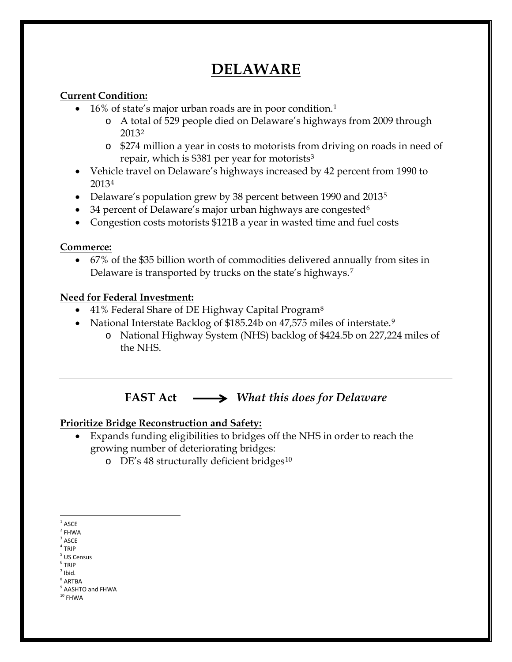# **DELAWARE**

#### **Current Condition:**

- 16% of state's major urban roads are in poor condition.[1](#page-0-0)
	- o A total of 529 people died on Delaware's highways from 2009 through 2013[2](#page-0-1)
	- o \$274 million a year in costs to motorists from driving on roads in need of repair, which is \$381 per year for motorists[3](#page-0-2)
- Vehicle travel on Delaware's highways increased by 42 percent from 1990 to 2013[4](#page-0-3)
- Delaware's population grew by 38 percent between 1990 and 2013<sup>[5](#page-0-4)</sup>
- 34 percent of Delaware's major urban highways are congested<sup>[6](#page-0-5)</sup>
- Congestion costs motorists \$121B a year in wasted time and fuel costs

#### **Commerce:**

• 67% of the \$35 billion worth of commodities delivered annually from sites in Delaware is transported by trucks on the state's highways.[7](#page-0-6)

#### **Need for Federal Investment:**

- 41% Federal Share of DE Highway Capital Program<sup>[8](#page-0-7)</sup>
- National Interstate Backlog of \$185.24b on 47,575 miles of interstate.<sup>[9](#page-0-8)</sup>
	- o National Highway System (NHS) backlog of \$424.5b on 227,224 miles of the NHS.

**FAST Act** *What this does for Delaware*

### **Prioritize Bridge Reconstruction and Safety:**

- Expands funding eligibilities to bridges off the NHS in order to reach the growing number of deteriorating bridges:
	- o DE's 48 structurally deficient bridges[10](#page-0-9)

- $3$  ASCE
- <span id="page-0-3"></span><span id="page-0-2"></span> $4$  TRIP
- <sup>5</sup> US Census
- <span id="page-0-5"></span><span id="page-0-4"></span><sup>6</sup> TRIP
- <span id="page-0-6"></span> $<sup>7</sup>$  Ibid.</sup>
- <span id="page-0-7"></span><sup>8</sup> ARTBA
- <sup>9</sup> AASHTO and FHWA
- <span id="page-0-9"></span><span id="page-0-8"></span> $^{\rm 10}$  FHWA

<span id="page-0-0"></span> $^{\rm 1}$  ASCE

<span id="page-0-1"></span> $2$  FHWA